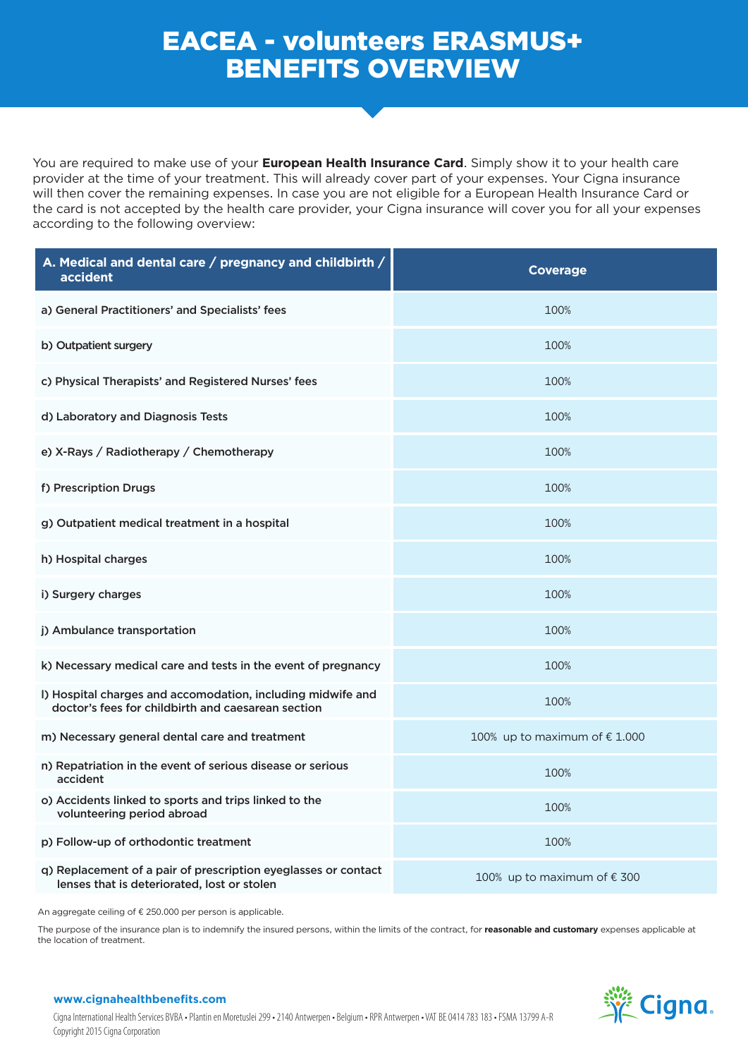## EACEA - volunteers ERASMUS+ BENEFITS OVERVIEW

You are required to make use of your **European Health Insurance Card**. Simply show it to your health care provider at the time of your treatment. This will already cover part of your expenses. Your Cigna insurance will then cover the remaining expenses. In case you are not eligible for a European Health Insurance Card or the card is not accepted by the health care provider, your Cigna insurance will cover you for all your expenses according to the following overview:

| A. Medical and dental care / pregnancy and childbirth /<br>accident                                               | <b>Coverage</b>                        |
|-------------------------------------------------------------------------------------------------------------------|----------------------------------------|
| a) General Practitioners' and Specialists' fees                                                                   | 100%                                   |
| b) Outpatient surgery                                                                                             | 100%                                   |
| c) Physical Therapists' and Registered Nurses' fees                                                               | 100%                                   |
| d) Laboratory and Diagnosis Tests                                                                                 | 100%                                   |
| e) X-Rays / Radiotherapy / Chemotherapy                                                                           | 100%                                   |
| f) Prescription Drugs                                                                                             | 100%                                   |
| g) Outpatient medical treatment in a hospital                                                                     | 100%                                   |
| h) Hospital charges                                                                                               | 100%                                   |
| i) Surgery charges                                                                                                | 100%                                   |
| j) Ambulance transportation                                                                                       | 100%                                   |
| k) Necessary medical care and tests in the event of pregnancy                                                     | 100%                                   |
| I) Hospital charges and accomodation, including midwife and<br>doctor's fees for childbirth and caesarean section | 100%                                   |
| m) Necessary general dental care and treatment                                                                    | 100% up to maximum of $\epsilon$ 1.000 |
| n) Repatriation in the event of serious disease or serious<br>accident                                            | 100%                                   |
| o) Accidents linked to sports and trips linked to the<br>volunteering period abroad                               | 100%                                   |
| p) Follow-up of orthodontic treatment                                                                             | 100%                                   |
| q) Replacement of a pair of prescription eyeglasses or contact<br>lenses that is deteriorated, lost or stolen     | 100% up to maximum of $\epsilon$ 300   |

An aggregate ceiling of € 250.000 per person is applicable.

The purpose of the insurance plan is to indemnify the insured persons, within the limits of the contract, for reasonable and customary expenses applicable at the location of treatment.



## **www.cignahealthbenefits.com**